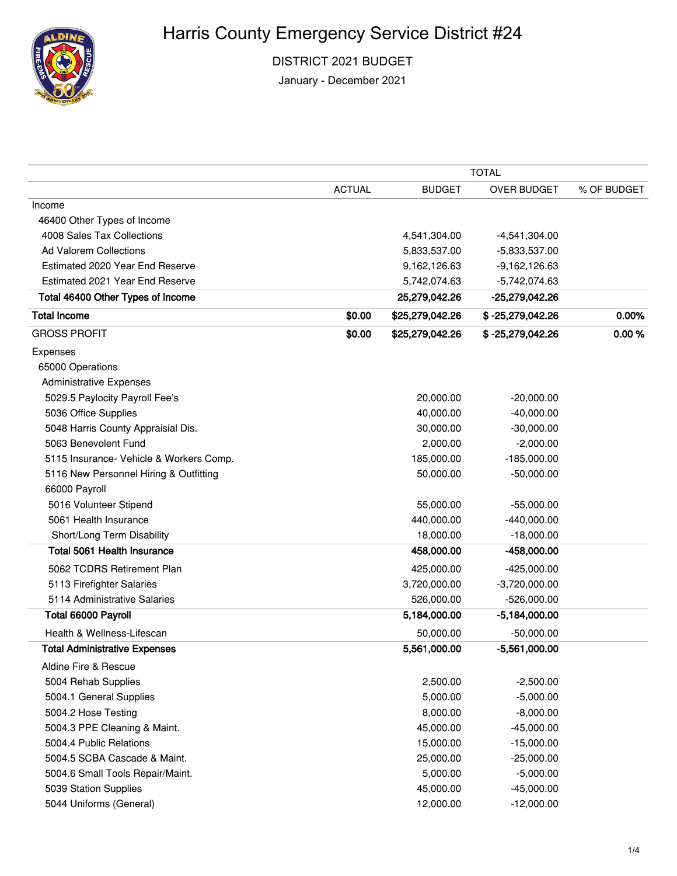

DISTRICT 2021 BUDGET

January - December 2021

|                                         | <b>TOTAL</b>  |                 |                    |             |
|-----------------------------------------|---------------|-----------------|--------------------|-------------|
|                                         | <b>ACTUAL</b> | <b>BUDGET</b>   | OVER BUDGET        | % OF BUDGET |
| Income                                  |               |                 |                    |             |
| 46400 Other Types of Income             |               |                 |                    |             |
| 4008 Sales Tax Collections              |               | 4,541,304.00    | $-4,541,304.00$    |             |
| Ad Valorem Collections                  |               | 5,833,537.00    | $-5,833,537.00$    |             |
| Estimated 2020 Year End Reserve         |               | 9,162,126.63    | $-9,162,126.63$    |             |
| Estimated 2021 Year End Reserve         |               | 5,742,074.63    | $-5,742,074.63$    |             |
| Total 46400 Other Types of Income       |               | 25,279,042.26   | -25,279,042.26     |             |
| <b>Total Income</b>                     | \$0.00        | \$25,279,042.26 | \$-25,279,042.26   | 0.00%       |
| <b>GROSS PROFIT</b>                     | \$0.00        | \$25,279,042.26 | $$ -25,279,042.26$ | 0.00%       |
| Expenses                                |               |                 |                    |             |
| 65000 Operations                        |               |                 |                    |             |
| <b>Administrative Expenses</b>          |               |                 |                    |             |
| 5029.5 Paylocity Payroll Fee's          |               | 20,000.00       | $-20,000.00$       |             |
| 5036 Office Supplies                    |               | 40,000.00       | $-40,000.00$       |             |
| 5048 Harris County Appraisial Dis.      |               | 30,000.00       | $-30,000.00$       |             |
| 5063 Benevolent Fund                    |               | 2,000.00        | $-2,000.00$        |             |
| 5115 Insurance- Vehicle & Workers Comp. |               | 185,000.00      | $-185,000.00$      |             |
| 5116 New Personnel Hiring & Outfitting  |               | 50,000.00       | $-50,000.00$       |             |
| 66000 Payroll                           |               |                 |                    |             |
| 5016 Volunteer Stipend                  |               | 55,000.00       | $-55,000.00$       |             |
| 5061 Health Insurance                   |               | 440,000.00      | $-440,000.00$      |             |
| Short/Long Term Disability              |               | 18,000.00       | $-18,000.00$       |             |
| <b>Total 5061 Health Insurance</b>      |               | 458,000.00      | -458,000.00        |             |
| 5062 TCDRS Retirement Plan              |               | 425,000.00      | $-425,000.00$      |             |
| 5113 Firefighter Salaries               |               | 3,720,000.00    | $-3,720,000.00$    |             |
| 5114 Administrative Salaries            |               | 526,000.00      | $-526,000.00$      |             |
| Total 66000 Payroll                     |               | 5,184,000.00    | $-5,184,000.00$    |             |
| Health & Wellness-Lifescan              |               | 50,000.00       | $-50,000.00$       |             |
| <b>Total Administrative Expenses</b>    |               | 5,561,000.00    | $-5,561,000.00$    |             |
| Aldine Fire & Rescue                    |               |                 |                    |             |
| 5004 Rehab Supplies                     |               | 2,500.00        | $-2,500.00$        |             |
| 5004.1 General Supplies                 |               | 5,000.00        | $-5,000.00$        |             |
| 5004.2 Hose Testing                     |               | 8,000.00        | $-8,000.00$        |             |
| 5004.3 PPE Cleaning & Maint.            |               | 45,000.00       | $-45,000.00$       |             |
| 5004.4 Public Relations                 |               | 15,000.00       | $-15,000.00$       |             |
| 5004.5 SCBA Cascade & Maint.            |               | 25,000.00       | $-25,000.00$       |             |
| 5004.6 Small Tools Repair/Maint.        |               | 5,000.00        | $-5,000.00$        |             |
| 5039 Station Supplies                   |               | 45,000.00       | $-45,000.00$       |             |
| 5044 Uniforms (General)                 |               | 12,000.00       | $-12,000.00$       |             |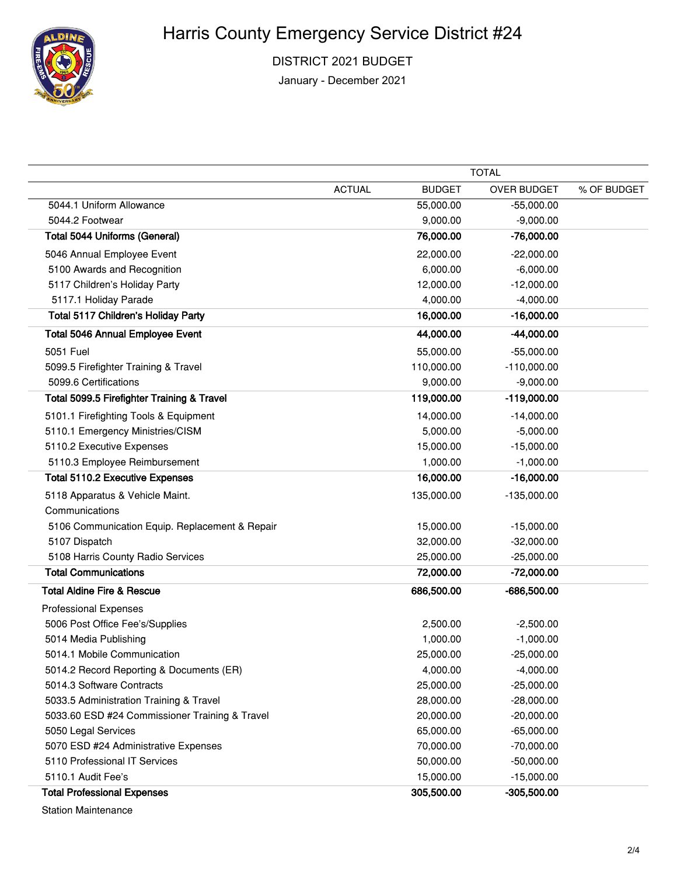

DISTRICT 2021 BUDGET

January - December 2021

|                                                | <b>TOTAL</b>  |               |                    |             |
|------------------------------------------------|---------------|---------------|--------------------|-------------|
|                                                | <b>ACTUAL</b> | <b>BUDGET</b> | <b>OVER BUDGET</b> | % OF BUDGET |
| 5044.1 Uniform Allowance                       |               | 55,000.00     | $-55,000.00$       |             |
| 5044.2 Footwear                                |               | 9,000.00      | $-9,000.00$        |             |
| <b>Total 5044 Uniforms (General)</b>           |               | 76,000.00     | $-76,000.00$       |             |
| 5046 Annual Employee Event                     |               | 22,000.00     | $-22,000.00$       |             |
| 5100 Awards and Recognition                    |               | 6,000.00      | $-6,000.00$        |             |
| 5117 Children's Holiday Party                  |               | 12,000.00     | $-12,000.00$       |             |
| 5117.1 Holiday Parade                          |               | 4,000.00      | $-4,000.00$        |             |
| Total 5117 Children's Holiday Party            |               | 16,000.00     | $-16,000.00$       |             |
| <b>Total 5046 Annual Employee Event</b>        |               | 44,000.00     | -44,000.00         |             |
| 5051 Fuel                                      |               | 55,000.00     | $-55,000.00$       |             |
| 5099.5 Firefighter Training & Travel           |               | 110,000.00    | $-110,000.00$      |             |
| 5099.6 Certifications                          |               | 9,000.00      | $-9,000.00$        |             |
| Total 5099.5 Firefighter Training & Travel     |               | 119,000.00    | $-119,000.00$      |             |
| 5101.1 Firefighting Tools & Equipment          |               | 14,000.00     | $-14,000.00$       |             |
| 5110.1 Emergency Ministries/CISM               |               | 5,000.00      | $-5,000.00$        |             |
| 5110.2 Executive Expenses                      |               | 15,000.00     | $-15,000.00$       |             |
| 5110.3 Employee Reimbursement                  |               | 1,000.00      | $-1,000.00$        |             |
| <b>Total 5110.2 Executive Expenses</b>         |               | 16,000.00     | $-16,000.00$       |             |
| 5118 Apparatus & Vehicle Maint.                |               | 135,000.00    | $-135,000.00$      |             |
| Communications                                 |               |               |                    |             |
| 5106 Communication Equip. Replacement & Repair |               | 15,000.00     | $-15,000.00$       |             |
| 5107 Dispatch                                  |               | 32,000.00     | $-32,000.00$       |             |
| 5108 Harris County Radio Services              |               | 25,000.00     | $-25,000.00$       |             |
| <b>Total Communications</b>                    |               | 72,000.00     | $-72,000.00$       |             |
| <b>Total Aldine Fire &amp; Rescue</b>          |               | 686,500.00    | $-686,500.00$      |             |
| <b>Professional Expenses</b>                   |               |               |                    |             |
| 5006 Post Office Fee's/Supplies                |               | 2,500.00      | $-2,500.00$        |             |
| 5014 Media Publishing                          |               | 1,000.00      | $-1,000.00$        |             |
| 5014.1 Mobile Communication                    |               | 25,000.00     | $-25,000.00$       |             |
| 5014.2 Record Reporting & Documents (ER)       |               | 4,000.00      | $-4,000.00$        |             |
| 5014.3 Software Contracts                      |               | 25,000.00     | $-25,000.00$       |             |
| 5033.5 Administration Training & Travel        |               | 28,000.00     | $-28,000.00$       |             |
| 5033.60 ESD #24 Commissioner Training & Travel |               | 20,000.00     | $-20,000.00$       |             |
| 5050 Legal Services                            |               | 65,000.00     | $-65,000.00$       |             |
| 5070 ESD #24 Administrative Expenses           |               | 70,000.00     | $-70,000.00$       |             |
| 5110 Professional IT Services                  |               | 50,000.00     | $-50,000.00$       |             |
| 5110.1 Audit Fee's                             |               | 15,000.00     | $-15,000.00$       |             |
| <b>Total Professional Expenses</b>             |               | 305,500.00    | $-305,500.00$      |             |

Station Maintenance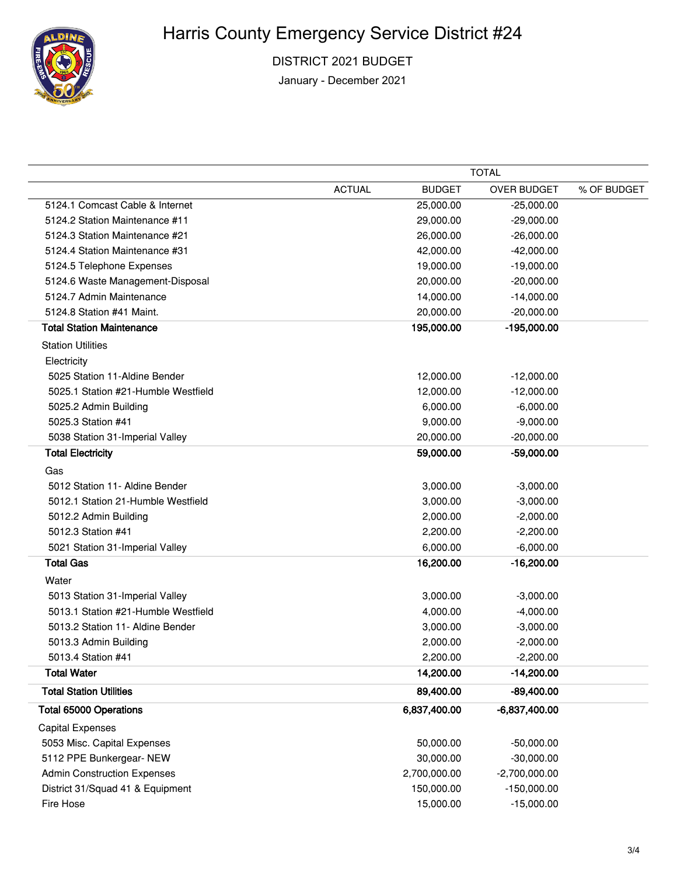

DISTRICT 2021 BUDGET

January - December 2021

|                                     |               | <b>TOTAL</b>  |                    |             |  |
|-------------------------------------|---------------|---------------|--------------------|-------------|--|
|                                     | <b>ACTUAL</b> | <b>BUDGET</b> | <b>OVER BUDGET</b> | % OF BUDGET |  |
| 5124.1 Comcast Cable & Internet     |               | 25,000.00     | $-25,000.00$       |             |  |
| 5124.2 Station Maintenance #11      |               | 29,000.00     | $-29,000.00$       |             |  |
| 5124.3 Station Maintenance #21      |               | 26,000.00     | $-26,000.00$       |             |  |
| 5124.4 Station Maintenance #31      |               | 42,000.00     | $-42,000.00$       |             |  |
| 5124.5 Telephone Expenses           |               | 19,000.00     | $-19,000.00$       |             |  |
| 5124.6 Waste Management-Disposal    |               | 20,000.00     | $-20,000.00$       |             |  |
| 5124.7 Admin Maintenance            |               | 14,000.00     | $-14,000.00$       |             |  |
| 5124.8 Station #41 Maint.           |               | 20,000.00     | $-20,000.00$       |             |  |
| <b>Total Station Maintenance</b>    |               | 195,000.00    | -195,000.00        |             |  |
| <b>Station Utilities</b>            |               |               |                    |             |  |
| Electricity                         |               |               |                    |             |  |
| 5025 Station 11-Aldine Bender       |               | 12,000.00     | $-12,000.00$       |             |  |
| 5025.1 Station #21-Humble Westfield |               | 12,000.00     | $-12,000.00$       |             |  |
| 5025.2 Admin Building               |               | 6,000.00      | $-6,000.00$        |             |  |
| 5025.3 Station #41                  |               | 9,000.00      | $-9,000.00$        |             |  |
| 5038 Station 31-Imperial Valley     |               | 20,000.00     | $-20,000.00$       |             |  |
| <b>Total Electricity</b>            |               | 59,000.00     | -59,000.00         |             |  |
| Gas                                 |               |               |                    |             |  |
| 5012 Station 11- Aldine Bender      |               | 3,000.00      | $-3,000.00$        |             |  |
| 5012.1 Station 21-Humble Westfield  |               | 3,000.00      | $-3,000.00$        |             |  |
| 5012.2 Admin Building               |               | 2,000.00      | $-2,000.00$        |             |  |
| 5012.3 Station #41                  |               | 2,200.00      | $-2,200.00$        |             |  |
| 5021 Station 31-Imperial Valley     |               | 6,000.00      | $-6,000.00$        |             |  |
| <b>Total Gas</b>                    |               | 16,200.00     | $-16,200.00$       |             |  |
| Water                               |               |               |                    |             |  |
| 5013 Station 31-Imperial Valley     |               | 3,000.00      | $-3,000.00$        |             |  |
| 5013.1 Station #21-Humble Westfield |               | 4,000.00      | $-4,000.00$        |             |  |
| 5013.2 Station 11- Aldine Bender    |               | 3,000.00      | $-3,000.00$        |             |  |
| 5013.3 Admin Building               |               | 2,000.00      | $-2,000.00$        |             |  |
| 5013.4 Station #41                  |               | 2,200.00      | $-2,200.00$        |             |  |
| <b>Total Water</b>                  |               | 14,200.00     | $-14,200.00$       |             |  |
| <b>Total Station Utilities</b>      |               | 89,400.00     | $-89,400.00$       |             |  |
| <b>Total 65000 Operations</b>       |               | 6,837,400.00  | $-6,837,400.00$    |             |  |
| <b>Capital Expenses</b>             |               |               |                    |             |  |
| 5053 Misc. Capital Expenses         |               | 50,000.00     | $-50,000.00$       |             |  |
| 5112 PPE Bunkergear- NEW            |               | 30,000.00     | $-30,000.00$       |             |  |
| <b>Admin Construction Expenses</b>  |               | 2,700,000.00  | $-2,700,000.00$    |             |  |
| District 31/Squad 41 & Equipment    |               | 150,000.00    | $-150,000.00$      |             |  |
| Fire Hose                           |               | 15,000.00     | $-15,000.00$       |             |  |